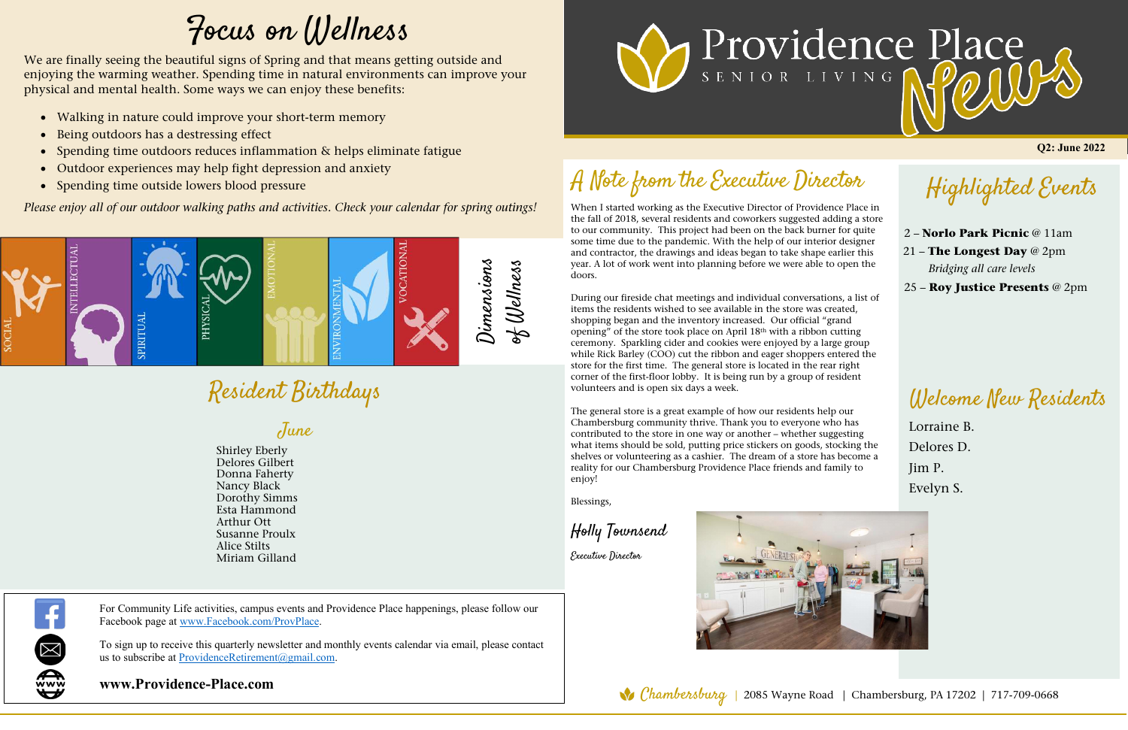When I started working as the Executive Director of Providence Place in the fall of 2018, several residents and coworkers suggested adding a store the fail of 2016, several residents and coworkers suggested adding a stor<br>to our community. This project had been on the back burner for quite some time due to the pandemic. With the help of our interior designer and contractor, the drawings and ideas began to take shape earlier this year. A lot of work went into planning before we were able to open the doors.

During our fireside chat meetings and individual conversations, a list of items the residents wished to see available in the store was created, shopping began and the inventory increased. Our official "grand opening" of the store took place on April 18th with a ribbon cutting ceremony. Sparkling cider and cookies were enjoyed by a large group while Rick Barley (COO) cut the ribbon and eager shoppers entered the store for the first time. The general store is located in the rear right corner of the first-floor lobby. It is being run by a group of resident volunteers and is open six days a week.

## A Note from the Executive Director

To sign up to receive this quarterly newsletter and monthly events calendar via email, please contact us to subscribe at ProvidenceRetirement@gmail.com.

The general store is a great example of how our residents help our Chambersburg community thrive. Thank you to everyone who has contributed to the store in one way or another – whether suggesting what items should be sold, putting price stickers on goods, stocking the shelves or volunteering as a cashier. The dream of a store has become a reality for our Chambersburg Providence Place friends and family to enjoy!

- Walking in nature could improve your short-term memory
- Being outdoors has a destressing effect
- Spending time outdoors reduces inflammation & helps eliminate fatigue
- Outdoor experiences may help fight depression and anxiety
- Spending time outside lowers blood pressure

Blessings,

Holly Townsend

Executive Director



**Q2: June 2022** 

Welcome New Residents

Lorraine B. Delores D. Jim P. Evelyn S.

Highlighted Events

2 – **Norlo Park Picnic** @ 11am 21 – **The Longest Day** @ 2pm *Bridging all care levels* 25 – **Roy Justice Presents** @ 2pm

For Community Life activities, campus events and Providence Place happenings, please follow our Facebook page at www.Facebook.com/ProvPlace.

## **www.Providence-Place.com**





Resident Birthdays

## Focus on Wellness

We are finally seeing the beautiful signs of Spring and that means getting outside and enjoying the warming weather. Spending time in natural environments can improve your physical and mental health. Some ways we can enjoy these benefits:

Birthdays June

## *Please enjoy all of our outdoor walking paths and activities. Check your calendar for spring outings!*

Shirley Eberly Delores Gilbert Donna Faherty Nancy Black Dorothy Simms Esta Hammond Arthur Ott Susanne Proulx Alice Stilts Miriam Gilland